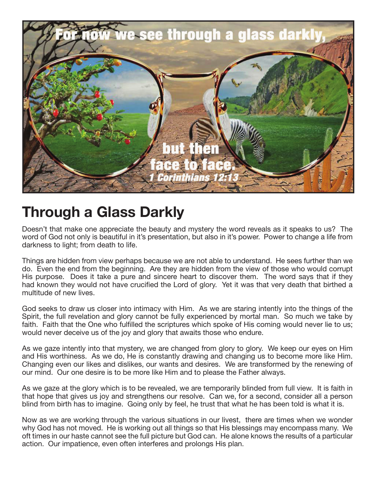

## **Through a Glass Darkly**

Doesn't that make one appreciate the beauty and mystery the word reveals as it speaks to us? The word of God not only is beautiful in it's presentation, but also in it's power. Power to change a life from darkness to light; from death to life.

Things are hidden from view perhaps because we are not able to understand. He sees further than we do. Even the end from the beginning. Are they are hidden from the view of those who would corrupt His purpose. Does it take a pure and sincere heart to discover them. The word says that if they had known they would not have crucified the Lord of glory. Yet it was that very death that birthed a multitude of new lives.

God seeks to draw us closer into intimacy with Him. As we are staring intently into the things of the Spirit, the full revelation and glory cannot be fully experienced by mortal man. So much we take by faith. Faith that the One who fulfilled the scriptures which spoke of His coming would never lie to us; would never deceive us of the joy and glory that awaits those who endure.

As we gaze intently into that mystery, we are changed from glory to glory. We keep our eyes on Him and His worthiness. As we do, He is constantly drawing and changing us to become more like Him. Changing even our likes and dislikes, our wants and desires. We are transformed by the renewing of our mind. Our one desire is to be more like Him and to please the Father always.

As we gaze at the glory which is to be revealed, we are temporarily blinded from full view. It is faith in that hope that gives us joy and strengthens our resolve. Can we, for a second, consider all a person blind from birth has to imagine. Going only by feel, he trust that what he has been told is what it is.

Now as we are working through the various situations in our livest, there are times when we wonder why God has not moved. He is working out all things so that His blessings may encompass many. We oft times in our haste cannot see the full picture but God can. He alone knows the results of a particular action. Our impatience, even often interferes and prolongs His plan.